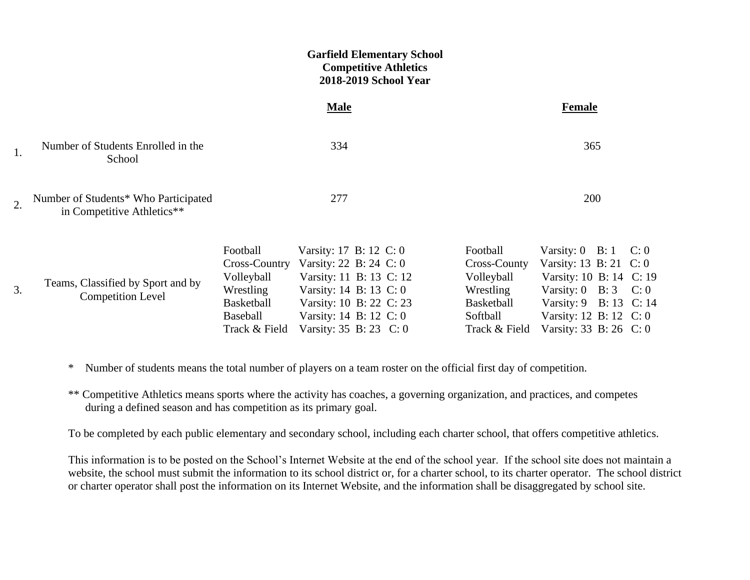|                  |                                                                    |                                                                                       | <b>Garfield Elementary School</b><br><b>Competitive Athletics</b><br>2018-2019 School Year                                                                                                         |                                                                                                |                                                                                                                                                                                                                   |  |
|------------------|--------------------------------------------------------------------|---------------------------------------------------------------------------------------|----------------------------------------------------------------------------------------------------------------------------------------------------------------------------------------------------|------------------------------------------------------------------------------------------------|-------------------------------------------------------------------------------------------------------------------------------------------------------------------------------------------------------------------|--|
|                  |                                                                    |                                                                                       | <b>Male</b>                                                                                                                                                                                        |                                                                                                | <b>Female</b>                                                                                                                                                                                                     |  |
| 1.               | Number of Students Enrolled in the<br>School                       |                                                                                       | 334                                                                                                                                                                                                |                                                                                                | 365                                                                                                                                                                                                               |  |
| $\overline{2}$ . | Number of Students* Who Participated<br>in Competitive Athletics** |                                                                                       | 277                                                                                                                                                                                                |                                                                                                | 200                                                                                                                                                                                                               |  |
| 3.               | Teams, Classified by Sport and by<br><b>Competition Level</b>      | Football<br>Volleyball<br>Wrestling<br>Basketball<br><b>Baseball</b><br>Track & Field | Varsity: 17 B: 12 C: 0<br>Cross-Country Varsity: 22 B: 24 C: 0<br>Varsity: 11 B: 13 C: 12<br>Varsity: 14 B: 13 C: 0<br>Varsity: 10 B: 22 C: 23<br>Varsity: 14 B: 12 C: 0<br>Varsity: 35 B: 23 C: 0 | Football<br>Cross-County<br>Volleyball<br>Wrestling<br>Basketball<br>Softball<br>Track & Field | Varsity: $0 \quad B: 1 \quad C: 0$<br>Varsity: 13 B: 21 C: 0<br>Varsity: 10 B: 14 C: 19<br>Varsity: $0 \text{ } B: 3 \text{ } C: 0$<br>Varsity: 9 B: 13 C: 14<br>Varsity: 12 B: 12 C: 0<br>Varsity: 33 B: 26 C: 0 |  |

\* Number of students means the total number of players on a team roster on the official first day of competition.

\*\* Competitive Athletics means sports where the activity has coaches, a governing organization, and practices, and competes during a defined season and has competition as its primary goal.

To be completed by each public elementary and secondary school, including each charter school, that offers competitive athletics.

This information is to be posted on the School's Internet Website at the end of the school year. If the school site does not maintain a website, the school must submit the information to its school district or, for a charter school, to its charter operator. The school district or charter operator shall post the information on its Internet Website, and the information shall be disaggregated by school site.